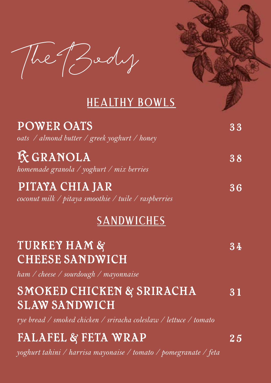The Body

## **Healthy bowls**

| <b>POWER OATS</b><br>oats / almond butter / greek yoghurt / honey                                                                 | 33     |
|-----------------------------------------------------------------------------------------------------------------------------------|--------|
| <b>K</b> GRANOLA<br>homemade granola / yoghurt / mix berries                                                                      | 38     |
| PITAYA CHIA JAR<br>coconut milk / pitaya smoothie / tuile / raspberries                                                           | 36     |
| <b>SANDWICHES</b>                                                                                                                 |        |
| <b>TURKEY HAM &amp;</b><br><b>CHEESE SANDWICH</b><br>ham / cheese / sourdough / mayonnaise                                        | $3\,4$ |
| <b>SMOKED CHICKEN &amp; SRIRACHA</b><br><b>SLAW SANDWICH</b><br>rye bread / smoked chicken / sriracha coleslaw / lettuce / tomato | 31     |
| FALAFEL & FETA WRAP<br>yoghurt tahini / harrisa mayonaise / tomato / pomegranate / feta                                           | $2\,5$ |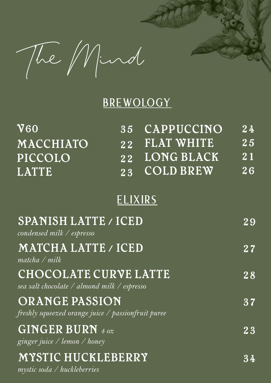The Mind

## **BREWOLOGY**

| $\overline{\text{V}60}$                                              | $\overline{35}$ | CAPPUCCINO        | $\overline{24}$ |
|----------------------------------------------------------------------|-----------------|-------------------|-----------------|
| MACCHIATO                                                            | 22              | <b>FLAT WHITE</b> | 25              |
| PICCOLO                                                              | 22              | <b>LONG BLACK</b> | $\overline{21}$ |
| <b>LATTE</b>                                                         | $\overline{23}$ | <b>COLD BREW</b>  | $\overline{26}$ |
|                                                                      | <b>ELIXIRS</b>  |                   |                 |
| <b>SPANISH LATTE / ICED</b><br>condensed milk / espresso             |                 |                   | 29              |
| MATCHA LATTE / ICED<br>$matcha$ / $milk$                             |                 |                   | 27              |
| CHOCOLATE CURVE LATTE<br>sea salt chocolate / almond milk / espresso |                 |                   | 28              |
| ORANGE PASSION<br>freshly squeezed orange juice / passionfruit puree |                 |                   | 37              |
| GINGER BURN 4 oz<br>ginger juice / lemon / honey                     |                 |                   | $2\,3$          |
| MYSTIC HUCKLEBERRY<br>mystic soda / huckleberries                    |                 |                   | 34              |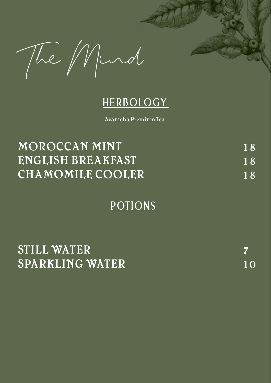The Mind

## **HERBOLOGY**

Avantcha Premium Tea

| MOROCCAN MINT           | 18        |
|-------------------------|-----------|
| ENGLISH BREAKFAST       | <b>18</b> |
| <b>CHAMOMILE COOLER</b> | <b>18</b> |

## **POTIONS**

| STILL WATER     |  |
|-----------------|--|
| SPARKLING WATER |  |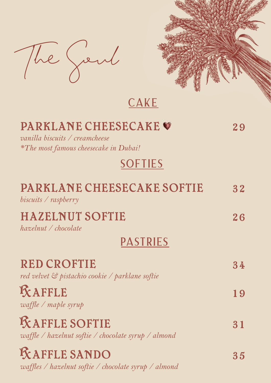



**CAKE**

| <b>PARKLANE CHEESECAKE O</b><br>vanilla biscuits / creamcheese<br>*The most famous cheesecake in Dubai! | 29 |
|---------------------------------------------------------------------------------------------------------|----|
| <b>SOFTIES</b>                                                                                          |    |
| PARKLANE CHEESECAKE SOFTIE<br>biscuits / raspberry                                                      | 32 |
| <b>HAZELNUT SOFTIE</b><br>$h$ azelnut / chocolate                                                       | 26 |
| <b>PASTRIES</b>                                                                                         |    |
| <b>RED CROFTIE</b><br>red velvet & pistachio cookie / parklane softie                                   | 34 |
| <b>KAFFLE</b><br>$\omega$ affle / maple syrup                                                           | 19 |
| <b>KAFFLE SOFTIE</b><br>waffle / hazelnut softie / chocolate syrup / almond                             |    |
| <b>KAFFLE SANDO</b><br><i>waffles / hazelnut softie / chocolate syrup / almond</i>                      | 35 |